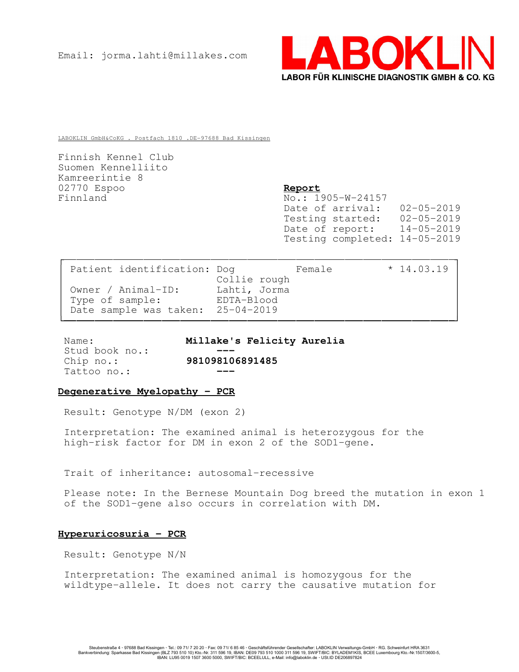

LABOKLIN GmbH&CoKG . Postfach 1810 .DE-97688 Bad Kissingen

Finnish Kennel Club Suomen Kennelliito Kamreerintie 8 02770 Espoo Report Finnland No.: 1905-W-24157

Date of arrival: 02-05-2019 Testing started: 02-05-2019 Date of report: 14-05-2019 Testing completed: 14-05-2019

| Patient identification: Dog       |              | Female | $*14.03.19$ |  |
|-----------------------------------|--------------|--------|-------------|--|
|                                   | Collie rough |        |             |  |
| Owner / Animal-ID:                | Lahti, Jorma |        |             |  |
| Type of sample:                   | EDTA-Blood   |        |             |  |
| Date sample was taken: 25-04-2019 |              |        |             |  |
|                                   |              |        |             |  |

Stud book no.: Tattoo no.:

Name: Millake's Felicity Aurelia Chip no.: 981098106891485

### Degenerative Myelopathy - PCR

Result: Genotype N/DM (exon 2)

Interpretation: The examined animal is heterozygous for the high-risk factor for DM in exon 2 of the SOD1-gene.

Trait of inheritance: autosomal-recessive

Please note: In the Bernese Mountain Dog breed the mutation in exon 1 of the SOD1-gene also occurs in correlation with DM.

# Hyperuricosuria - PCR

Result: Genotype N/N

Interpretation: The examined animal is homozygous for the wildtype-allele. It does not carry the causative mutation for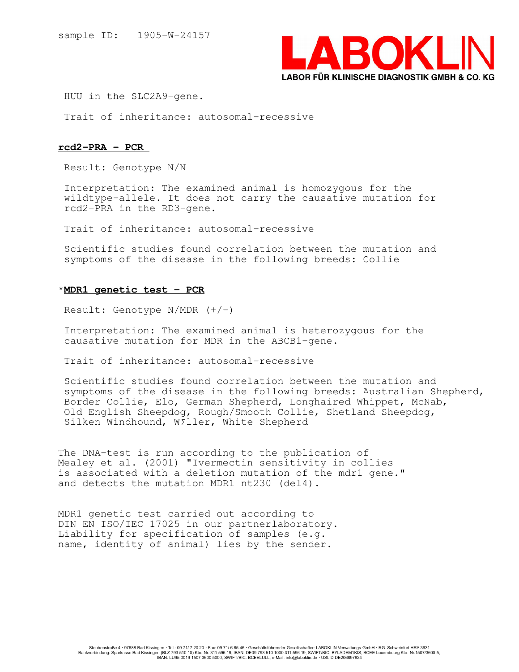

HUU in the SLC2A9-gene.

Trait of inheritance: autosomal-recessive

## rcd2-PRA - PCR

Result: Genotype N/N

Interpretation: The examined animal is homozygous for the wildtype-allele. It does not carry the causative mutation for rcd2-PRA in the RD3-gene.

Trait of inheritance: autosomal-recessive

Scientific studies found correlation between the mutation and symptoms of the disease in the following breeds: Collie

## \*MDR1 genetic test - PCR

Result: Genotype  $N/MDR$   $(+/-)$ 

Interpretation: The examined animal is heterozygous for the causative mutation for MDR in the ABCB1-gene.

Trait of inheritance: autosomal-recessive

Scientific studies found correlation between the mutation and symptoms of the disease in the following breeds: Australian Shepherd, Border Collie, Elo, German Shepherd, Longhaired Whippet, McNab, Old English Sheepdog, Rough/Smooth Collie, Shetland Sheepdog, Silken Windhound, W£ller, White Shepherd

The DNA-test is run according to the publication of Mealey et al. (2001) "Ivermectin sensitivity in collies is associated with a deletion mutation of the mdr1 gene." and detects the mutation MDR1 nt230 (del4).

MDR1 genetic test carried out according to DIN EN ISO/IEC 17025 in our partnerlaboratory. Liability for specification of samples (e.g. name, identity of animal) lies by the sender.